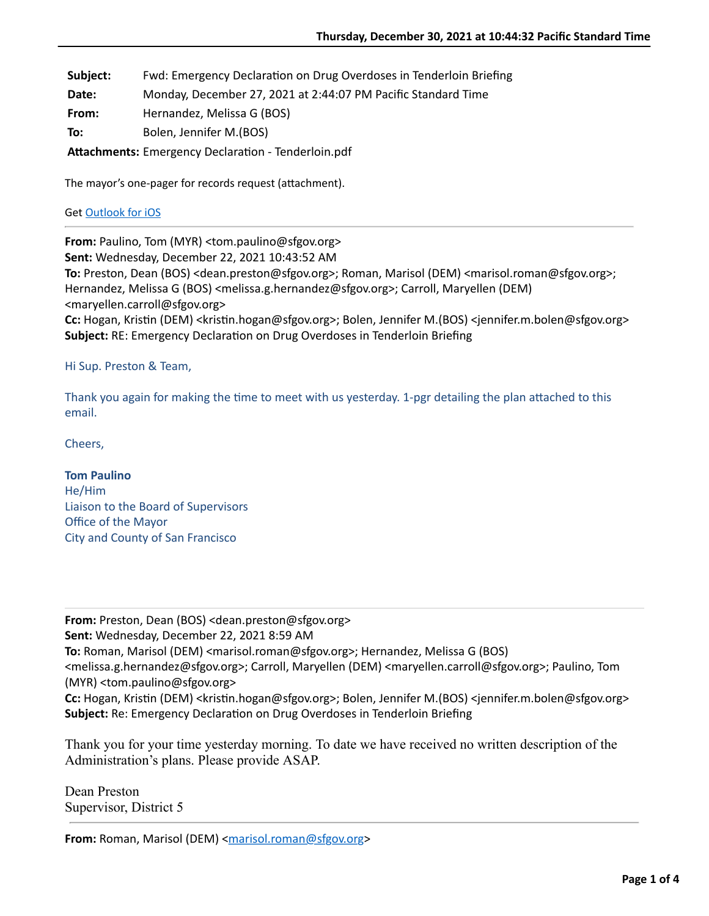Subject: Fwd: Emergency Declaration on Drug Overdoses in Tenderloin Briefing

**Date:** Monday, December 27, 2021 at 2:44:07 PM Pacific Standard Time

**From:** Hernandez, Melissa G (BOS)

**To:** Bolen, Jennifer M.(BOS)

Attachments: Emergency Declaration - Tenderloin.pdf

The mayor's one-pager for records request (attachment).

## Get [Outlook for iOS](https://aka.ms/o0ukef)

**From:** Paulino, Tom (MYR) <tom.paulino@sfgov.org> **Sent:** Wednesday, December 22, 2021 10:43:52 AM **To:** Preston, Dean (BOS) <dean.preston@sfgov.org>; Roman, Marisol (DEM) <marisol.roman@sfgov.org>; Hernandez, Melissa G (BOS) <melissa.g.hernandez@sfgov.org>; Carroll, Maryellen (DEM) <maryellen.carroll@sfgov.org> **Cc:** Hogan, Kristin (DEM) <kristin.hogan@sfgov.org>; Bolen, Jennifer M.(BOS) <jennifer.m.bolen@sfgov.org> **Subject:** RE: Emergency Declaration on Drug Overdoses in Tenderloin Briefing

## Hi Sup. Preston & Team,

Thank you again for making the time to meet with us yesterday. 1-pgr detailing the plan attached to this email.

Cheers,

**Tom Paulino** He/Him Liaison to the Board of Supervisors Office of the Mayor City and County of San Francisco

**From:** Preston, Dean (BOS) <dean.preston@sfgov.org> **Sent:** Wednesday, December 22, 2021 8:59 AM **To:** Roman, Marisol (DEM) <marisol.roman@sfgov.org>; Hernandez, Melissa G (BOS) <melissa.g.hernandez@sfgov.org>; Carroll, Maryellen (DEM) <maryellen.carroll@sfgov.org>; Paulino, Tom (MYR) <tom.paulino@sfgov.org> **Cc:** Hogan, Kristin (DEM) <kristin.hogan@sfgov.org>; Bolen, Jennifer M.(BOS) <jennifer.m.bolen@sfgov.org> **Subject:** Re: Emergency Declaration on Drug Overdoses in Tenderloin Briefing

Thank you for your time yesterday morning. To date we have received no written description of the Administration's plans. Please provide ASAP.

Dean Preston Supervisor, District 5

**From:** Roman, Marisol (DEM) [<marisol.roman@sfgov.org](mailto:marisol.roman@sfgov.org)>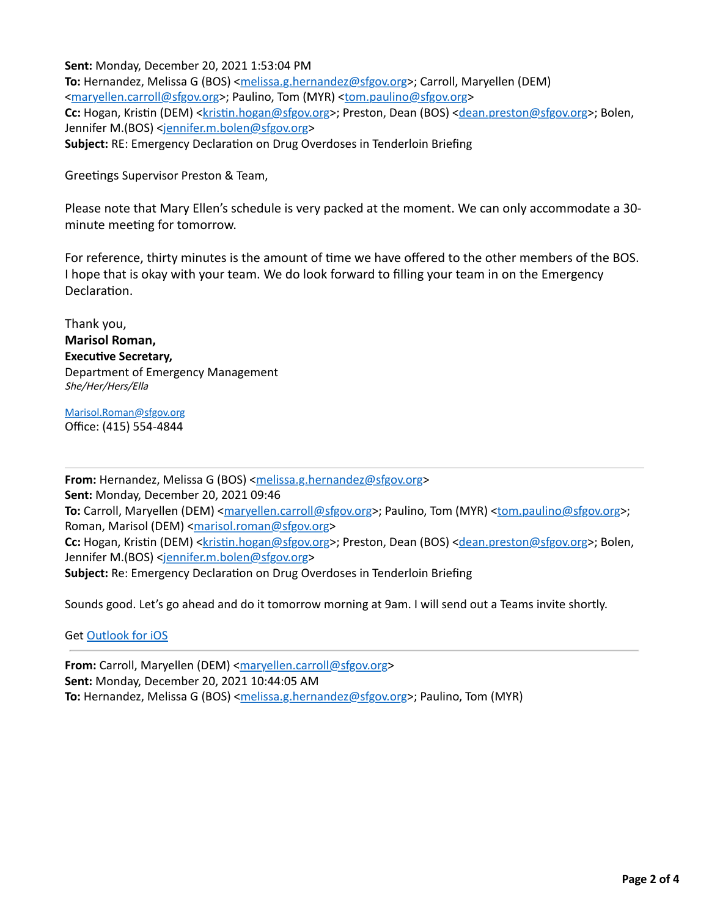**Sent:** Monday, December 20, 2021 1:53:04 PM **To:** Hernandez, Melissa G (BOS) <[melissa.g.hernandez@sfgov.org>](mailto:melissa.g.hernandez@sfgov.org); Carroll, Maryellen (DEM) <[maryellen.carroll@sfgov.org](mailto:maryellen.carroll@sfgov.org)>; Paulino, Tom (MYR) <[tom.paulino@sfgov.org>](mailto:tom.paulino@sfgov.org) Cc: Hogan, Kristin (DEM) <kristin.hogan@sfgov.org>; Preston, Dean (BOS) [<dean.preston@sfgov.org>](mailto:dean.preston@sfgov.org); Bolen, Jennifer M.(BOS) <[jennifer.m.bolen@sfgov.org](mailto:jennifer.m.bolen@sfgov.org)> **Subject:** RE: Emergency Declaration on Drug Overdoses in Tenderloin Briefing

Greetings Supervisor Preston & Team,

Please note that Mary Ellen's schedule is very packed at the moment. We can only accommodate a 30 minute meeting for tomorrow.

For reference, thirty minutes is the amount of time we have offered to the other members of the BOS. I hope that is okay with your team. We do look forward to filling your team in on the Emergency Declaration.

Thank you, **Marisol Roman, Executive Secretary,** Department of Emergency Management She/Her/Hers/Ella

[Marisol.Roman@sfgov.org](mailto:Marisol.Roman@sfgov.org) Office: (415) 554-4844

**From:** Hernandez, Melissa G (BOS) [<melissa.g.hernandez@sfgov.org](mailto:melissa.g.hernandez@sfgov.org)> **Sent:** Monday, December 20, 2021 09:46 **To:** Carroll, Maryellen (DEM) < $\frac{maryellen.carroll@sfgov.org}{P}$  $\frac{maryellen.carroll@sfgov.org}{P}$  $\frac{maryellen.carroll@sfgov.org}{P}$ ; Paulino, Tom (MYR) < $\frac{tom.paulino@sfgov.org}{P}$ ; Roman, Marisol (DEM) [<marisol.roman@sfgov.org>](mailto:marisol.roman@sfgov.org) **Cc:** Hogan, Kristin (DEM) <kristin.hogan@sfgov.org>; Preston, Dean (BOS) [<dean.preston@sfgov.org>](mailto:dean.preston@sfgov.org); Bolen, Jennifer M.(BOS) <[jennifer.m.bolen@sfgov.org](mailto:jennifer.m.bolen@sfgov.org)> **Subject:** Re: Emergency Declaration on Drug Overdoses in Tenderloin Briefing

Sounds good. Let's go ahead and do it tomorrow morning at 9am. I will send out a Teams invite shortly.

Get [Outlook for iOS](https://gcc02.safelinks.protection.outlook.com/?url=https%3A%2F%2Faka.ms%2Fo0ukef&data=04%7C01%7Cmarisol.roman%40sfgov.org%7Cb26e69db9b1c4f6d6eba08d9c3e08fb0%7C22d5c2cfce3e443d9a7fdfcc0231f73f%7C0%7C0%7C637756191516557233%7CUnknown%7CTWFpbGZsb3d8eyJWIjoiMC4wLjAwMDAiLCJQIjoiV2luMzIiLCJBTiI6Ik1haWwiLCJXVCI6Mn0%3D%7C3000&sdata=sWDVXjJPJl4g2Vzqmx%2BEmHcc8FsdgpcHEbPQsySOxtw%3D&reserved=0)

**From:** Carroll, Maryellen (DEM) [<maryellen.carroll@sfgov.org>](mailto:maryellen.carroll@sfgov.org) **Sent:** Monday, December 20, 2021 10:44:05 AM **To:** Hernandez, Melissa G (BOS) <[melissa.g.hernandez@sfgov.org>](mailto:melissa.g.hernandez@sfgov.org); Paulino, Tom (MYR)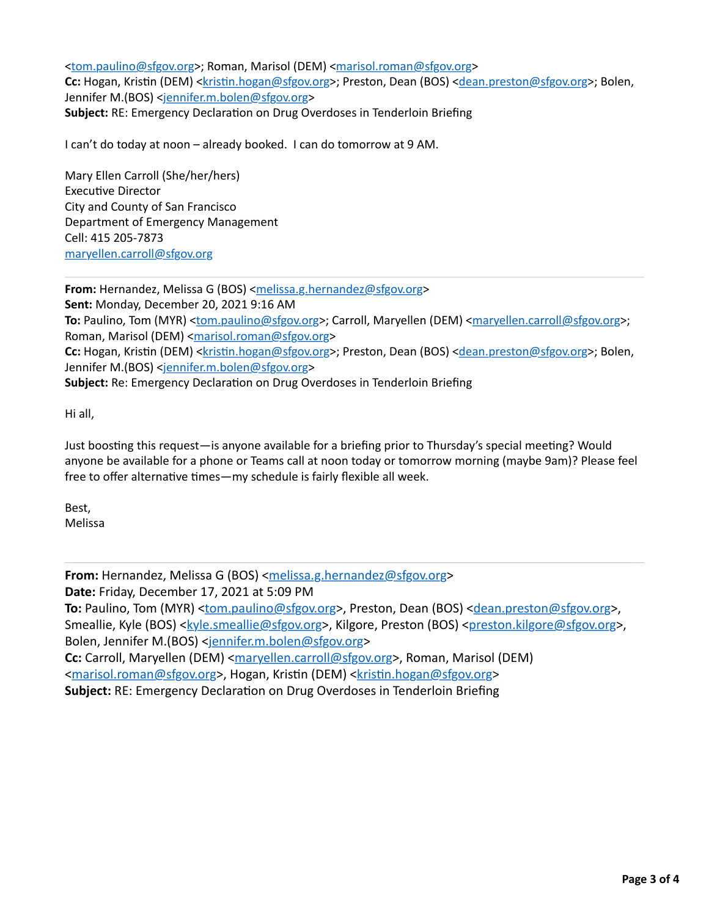<[tom.paulino@sfgov.org>](mailto:tom.paulino@sfgov.org); Roman, Marisol (DEM) [<marisol.roman@sfgov.org>](mailto:marisol.roman@sfgov.org) Cc: Hogan, Kristin (DEM) <kristin.hogan@sfgov.org>; Preston, Dean (BOS) [<dean.preston@sfgov.org>](mailto:dean.preston@sfgov.org); Bolen, Jennifer M.(BOS) <[jennifer.m.bolen@sfgov.org](mailto:jennifer.m.bolen@sfgov.org)> **Subject:** RE: Emergency Declaration on Drug Overdoses in Tenderloin Briefing

I can't do today at noon – already booked. I can do tomorrow at 9 AM.

Mary Ellen Carroll (She/her/hers) **Executive Director** City and County of San Francisco Department of Emergency Management Cell: 415 205-7873 [maryellen.carroll@sfgov.org](mailto:maryellen.carroll@sfgov.org)

**From:** Hernandez, Melissa G (BOS) [<melissa.g.hernandez@sfgov.org](mailto:melissa.g.hernandez@sfgov.org)> **Sent:** Monday, December 20, 2021 9:16 AM **To:** Paulino, Tom (MYR) [<tom.paulino@sfgov.org>](mailto:tom.paulino@sfgov.org); Carroll, Maryellen (DEM) [<maryellen.carroll@sfgov.org>](mailto:maryellen.carroll@sfgov.org); Roman, Marisol (DEM) [<marisol.roman@sfgov.org>](mailto:marisol.roman@sfgov.org) **Cc:** Hogan, Kristin (DEM) <kristin.hogan@sfgov.org>; Preston, Dean (BOS) [<dean.preston@sfgov.org>](mailto:dean.preston@sfgov.org); Bolen, Jennifer M.(BOS) <[jennifer.m.bolen@sfgov.org](mailto:jennifer.m.bolen@sfgov.org)> **Subject:** Re: Emergency Declaration on Drug Overdoses in Tenderloin Briefing

Hi all,

Just boosting this request—is anyone available for a briefing prior to Thursday's special meeting? Would anyone be available for a phone or Teams call at noon today or tomorrow morning (maybe 9am)? Please feel free to offer alternative times—my schedule is fairly flexible all week.

Best, Melissa

**From:** Hernandez, Melissa G (BOS) [<melissa.g.hernandez@sfgov.org>](mailto:melissa.g.hernandez@sfgov.org) **Date:** Friday, December 17, 2021 at 5:09 PM To: Paulino, Tom (MYR) [<tom.paulino@sfgov.org](mailto:tom.paulino@sfgov.org)>, Preston, Dean (BOS) [<dean.preston@sfgov.org>](mailto:dean.preston@sfgov.org), Smeallie, Kyle (BOS) [<kyle.smeallie@sfgov.org](mailto:kyle.smeallie@sfgov.org)>, Kilgore, Preston (BOS) [<preston.kilgore@sfgov.org](mailto:preston.kilgore@sfgov.org)>, Bolen, Jennifer M.(BOS) [<jennifer.m.bolen@sfgov.org>](mailto:jennifer.m.bolen@sfgov.org) Cc: Carroll, Maryellen (DEM) <[maryellen.carroll@sfgov.org](mailto:maryellen.carroll@sfgov.org)>, Roman, Marisol (DEM) <[marisol.roman@sfgov.org>](mailto:marisol.roman@sfgov.org), Hogan, Kristin (DEM) <kristin.hogan@sfgov.org> **Subject: RE: Emergency Declaration on Drug Overdoses in Tenderloin Briefing**